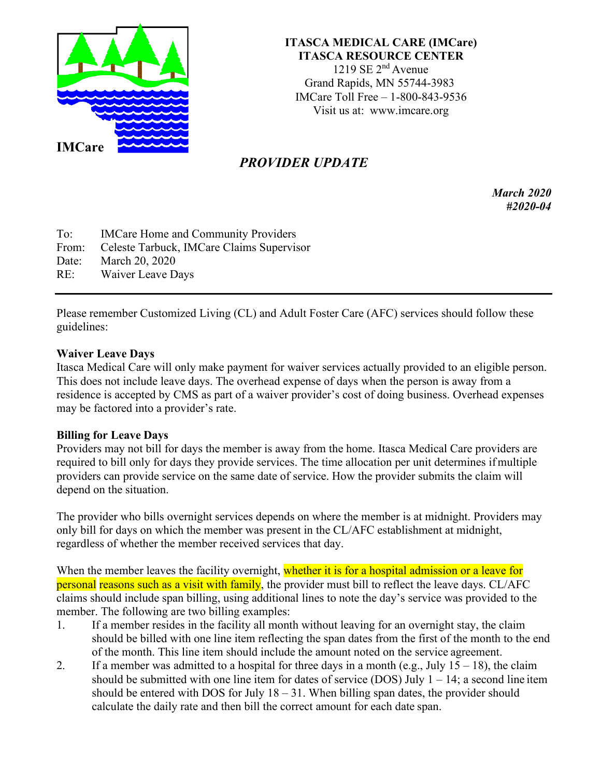

## **ITASCA MEDICAL CARE (IMCare) ITASCA RESOURCE CENTER**

1219 SE  $2<sup>nd</sup>$  Avenue Grand Rapids, MN 55744-3983 IMCare Toll Free – 1-800-843-9536 Visit us at: [www.imcare.org](http://www.imcare.org/)

## *PROVIDER UPDATE*

*March 2020 #2020-04*

To: IMCare Home and Community Providers From: Celeste Tarbuck, IMCare Claims Supervisor Date: March 20, 2020

RE: Waiver Leave Days

Please remember Customized Living (CL) and Adult Foster Care (AFC) services should follow these guidelines:

## **Waiver Leave Days**

Itasca Medical Care will only make payment for waiver services actually provided to an eligible person. This does not include leave days. The overhead expense of days when the person is away from a residence is accepted by CMS as part of a waiver provider's cost of doing business. Overhead expenses may be factored into a provider's rate.

## **Billing for Leave Days**

Providers may not bill for days the member is away from the home. Itasca Medical Care providers are required to bill only for days they provide services. The time allocation per unit determines ifmultiple providers can provide service on the same date of service. How the provider submits the claim will depend on the situation.

The provider who bills overnight services depends on where the member is at midnight. Providers may only bill for days on which the member was present in the CL/AFC establishment at midnight, regardless of whether the member received services that day.

When the member leaves the facility overnight, whether it is for a hospital admission or a leave for personal reasons such as a visit with family, the provider must bill to reflect the leave days. CL/AFC claims should include span billing, using additional lines to note the day's service was provided to the member. The following are two billing examples:

- 1. If a member resides in the facility all month without leaving for an overnight stay, the claim should be billed with one line item reflecting the span dates from the first of the month to the end of the month. This line item should include the amount noted on the service agreement.
- 2. If a member was admitted to a hospital for three days in a month (e.g., July  $15 18$ ), the claim should be submitted with one line item for dates of service (DOS) July  $1 - 14$ ; a second line item should be entered with DOS for July  $18 - 31$ . When billing span dates, the provider should calculate the daily rate and then bill the correct amount for each date span.